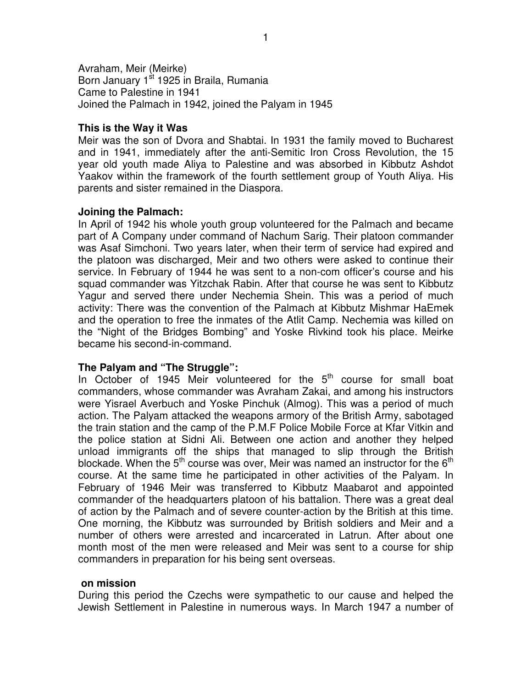Avraham, Meir (Meirke) Born January 1<sup>st</sup> 1925 in Braila, Rumania Came to Palestine in 1941 Joined the Palmach in 1942, joined the Palyam in 1945

#### **This is the Way it Was**

Meir was the son of Dvora and Shabtai. In 1931 the family moved to Bucharest and in 1941, immediately after the anti-Semitic Iron Cross Revolution, the 15 year old youth made Aliya to Palestine and was absorbed in Kibbutz Ashdot Yaakov within the framework of the fourth settlement group of Youth Aliya. His parents and sister remained in the Diaspora.

### **Joining the Palmach:**

In April of 1942 his whole youth group volunteered for the Palmach and became part of A Company under command of Nachum Sarig. Their platoon commander was Asaf Simchoni. Two years later, when their term of service had expired and the platoon was discharged, Meir and two others were asked to continue their service. In February of 1944 he was sent to a non-com officer's course and his squad commander was Yitzchak Rabin. After that course he was sent to Kibbutz Yagur and served there under Nechemia Shein. This was a period of much activity: There was the convention of the Palmach at Kibbutz Mishmar HaEmek and the operation to free the inmates of the Atlit Camp. Nechemia was killed on the "Night of the Bridges Bombing" and Yoske Rivkind took his place. Meirke became his second-in-command.

# **The Palyam and "The Struggle":**

In October of 1945 Meir volunteered for the  $5<sup>th</sup>$  course for small boat commanders, whose commander was Avraham Zakai, and among his instructors were Yisrael Averbuch and Yoske Pinchuk (Almog). This was a period of much action. The Palyam attacked the weapons armory of the British Army, sabotaged the train station and the camp of the P.M.F Police Mobile Force at Kfar Vitkin and the police station at Sidni Ali. Between one action and another they helped unload immigrants off the ships that managed to slip through the British blockade. When the 5<sup>th</sup> course was over, Meir was named an instructor for the 6<sup>th</sup> course. At the same time he participated in other activities of the Palyam. In February of 1946 Meir was transferred to Kibbutz Maabarot and appointed commander of the headquarters platoon of his battalion. There was a great deal of action by the Palmach and of severe counter-action by the British at this time. One morning, the Kibbutz was surrounded by British soldiers and Meir and a number of others were arrested and incarcerated in Latrun. After about one month most of the men were released and Meir was sent to a course for ship commanders in preparation for his being sent overseas.

#### **on mission**

During this period the Czechs were sympathetic to our cause and helped the Jewish Settlement in Palestine in numerous ways. In March 1947 a number of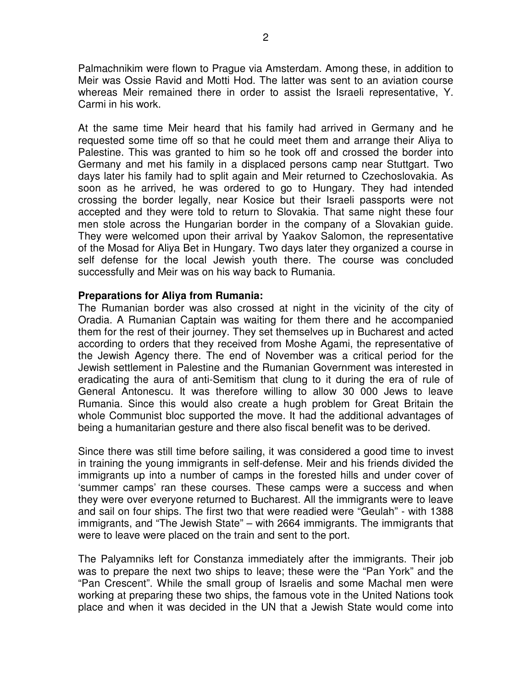Palmachnikim were flown to Prague via Amsterdam. Among these, in addition to Meir was Ossie Ravid and Motti Hod. The latter was sent to an aviation course whereas Meir remained there in order to assist the Israeli representative, Y. Carmi in his work.

At the same time Meir heard that his family had arrived in Germany and he requested some time off so that he could meet them and arrange their Aliya to Palestine. This was granted to him so he took off and crossed the border into Germany and met his family in a displaced persons camp near Stuttgart. Two days later his family had to split again and Meir returned to Czechoslovakia. As soon as he arrived, he was ordered to go to Hungary. They had intended crossing the border legally, near Kosice but their Israeli passports were not accepted and they were told to return to Slovakia. That same night these four men stole across the Hungarian border in the company of a Slovakian guide. They were welcomed upon their arrival by Yaakov Salomon, the representative of the Mosad for Aliya Bet in Hungary. Two days later they organized a course in self defense for the local Jewish youth there. The course was concluded successfully and Meir was on his way back to Rumania.

### **Preparations for Aliya from Rumania:**

The Rumanian border was also crossed at night in the vicinity of the city of Oradia. A Rumanian Captain was waiting for them there and he accompanied them for the rest of their journey. They set themselves up in Bucharest and acted according to orders that they received from Moshe Agami, the representative of the Jewish Agency there. The end of November was a critical period for the Jewish settlement in Palestine and the Rumanian Government was interested in eradicating the aura of anti-Semitism that clung to it during the era of rule of General Antonescu. It was therefore willing to allow 30 000 Jews to leave Rumania. Since this would also create a hugh problem for Great Britain the whole Communist bloc supported the move. It had the additional advantages of being a humanitarian gesture and there also fiscal benefit was to be derived.

Since there was still time before sailing, it was considered a good time to invest in training the young immigrants in self-defense. Meir and his friends divided the immigrants up into a number of camps in the forested hills and under cover of 'summer camps' ran these courses. These camps were a success and when they were over everyone returned to Bucharest. All the immigrants were to leave and sail on four ships. The first two that were readied were "Geulah" - with 1388 immigrants, and "The Jewish State" – with 2664 immigrants. The immigrants that were to leave were placed on the train and sent to the port.

The Palyamniks left for Constanza immediately after the immigrants. Their job was to prepare the next two ships to leave; these were the "Pan York" and the "Pan Crescent". While the small group of Israelis and some Machal men were working at preparing these two ships, the famous vote in the United Nations took place and when it was decided in the UN that a Jewish State would come into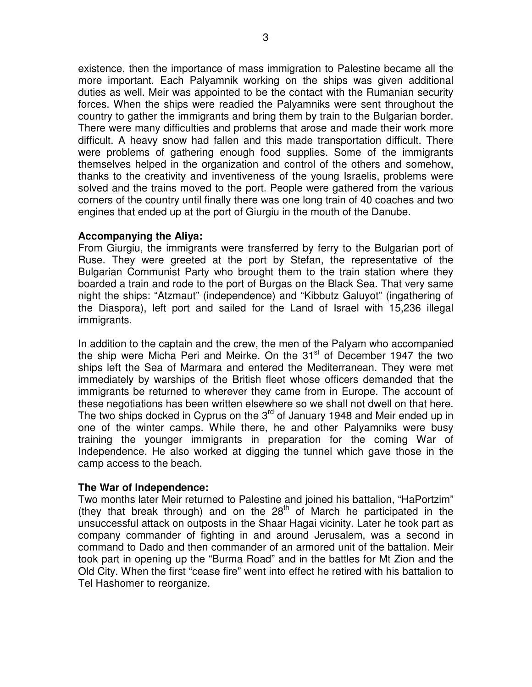existence, then the importance of mass immigration to Palestine became all the more important. Each Palyamnik working on the ships was given additional duties as well. Meir was appointed to be the contact with the Rumanian security forces. When the ships were readied the Palyamniks were sent throughout the country to gather the immigrants and bring them by train to the Bulgarian border. There were many difficulties and problems that arose and made their work more difficult. A heavy snow had fallen and this made transportation difficult. There were problems of gathering enough food supplies. Some of the immigrants themselves helped in the organization and control of the others and somehow, thanks to the creativity and inventiveness of the young Israelis, problems were solved and the trains moved to the port. People were gathered from the various corners of the country until finally there was one long train of 40 coaches and two engines that ended up at the port of Giurgiu in the mouth of the Danube.

### **Accompanying the Aliya:**

From Giurgiu, the immigrants were transferred by ferry to the Bulgarian port of Ruse. They were greeted at the port by Stefan, the representative of the Bulgarian Communist Party who brought them to the train station where they boarded a train and rode to the port of Burgas on the Black Sea. That very same night the ships: "Atzmaut" (independence) and "Kibbutz Galuyot" (ingathering of the Diaspora), left port and sailed for the Land of Israel with 15,236 illegal immigrants.

In addition to the captain and the crew, the men of the Palyam who accompanied the ship were Micha Peri and Meirke. On the 31<sup>st</sup> of December 1947 the two ships left the Sea of Marmara and entered the Mediterranean. They were met immediately by warships of the British fleet whose officers demanded that the immigrants be returned to wherever they came from in Europe. The account of these negotiations has been written elsewhere so we shall not dwell on that here. The two ships docked in Cyprus on the  $3<sup>rd</sup>$  of January 1948 and Meir ended up in one of the winter camps. While there, he and other Palyamniks were busy training the younger immigrants in preparation for the coming War of Independence. He also worked at digging the tunnel which gave those in the camp access to the beach.

# **The War of Independence:**

Two months later Meir returned to Palestine and joined his battalion, "HaPortzim" (they that break through) and on the  $28<sup>th</sup>$  of March he participated in the unsuccessful attack on outposts in the Shaar Hagai vicinity. Later he took part as company commander of fighting in and around Jerusalem, was a second in command to Dado and then commander of an armored unit of the battalion. Meir took part in opening up the "Burma Road" and in the battles for Mt Zion and the Old City. When the first "cease fire" went into effect he retired with his battalion to Tel Hashomer to reorganize.